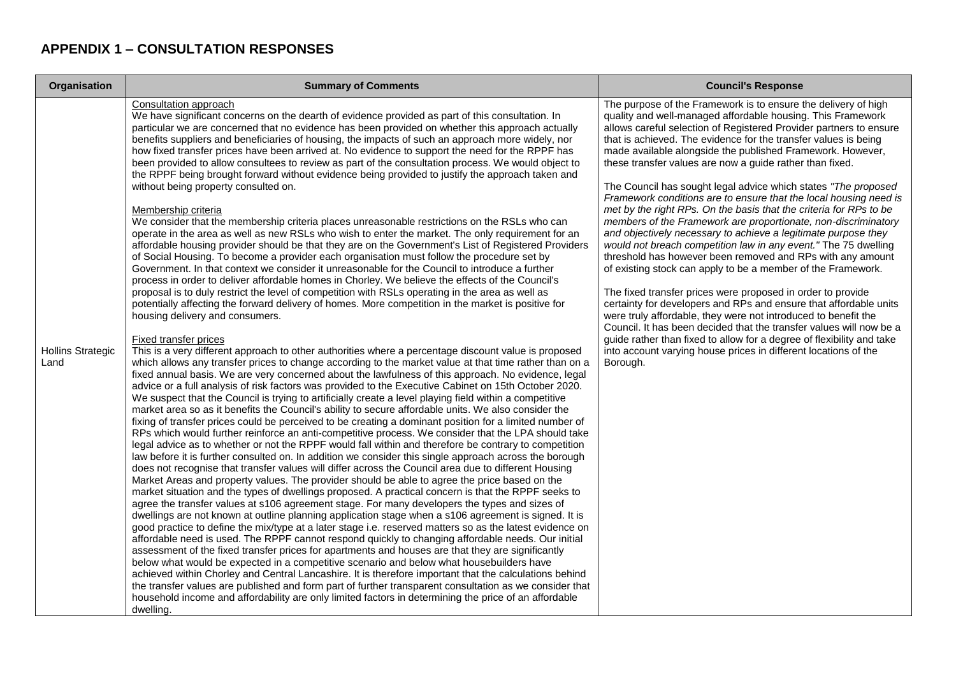## **APPENDIX 1 – CONSULTATION RESPONSES**

| Organisation                     | <b>Summary of Comments</b>                                                                                                                                                                                                                                                                                                                                                                                                                                                                                                                                                                                                                                                                                                                                                                                                                                                                                                                                                                                                                                                                                                                                                                                                                                                                                                                                                                                                                                                                                                                                                                                                                                                                                                                                                                                                                                                                                                                                                                                                                                                                                                                                                                                                                                                                                                                                                                                                                                                                                                                                                                                                                                                                                                                                                                                                                                                                                                                                                                                                                                                                                                                                                                                                                                                                                                                                                                                                                                                                                                                                                                                                                                                                                                                                                                                                                                                                                                                                                                        | <b>Council's Response</b>                                                                                                                                                                                                                                                                                                                                                                                                                                                                                                                                                                                                                                                                                                                                                                                                                                                                                                                                                                                                                                                                                                                                                                                                                                                                                                                                                               |
|----------------------------------|---------------------------------------------------------------------------------------------------------------------------------------------------------------------------------------------------------------------------------------------------------------------------------------------------------------------------------------------------------------------------------------------------------------------------------------------------------------------------------------------------------------------------------------------------------------------------------------------------------------------------------------------------------------------------------------------------------------------------------------------------------------------------------------------------------------------------------------------------------------------------------------------------------------------------------------------------------------------------------------------------------------------------------------------------------------------------------------------------------------------------------------------------------------------------------------------------------------------------------------------------------------------------------------------------------------------------------------------------------------------------------------------------------------------------------------------------------------------------------------------------------------------------------------------------------------------------------------------------------------------------------------------------------------------------------------------------------------------------------------------------------------------------------------------------------------------------------------------------------------------------------------------------------------------------------------------------------------------------------------------------------------------------------------------------------------------------------------------------------------------------------------------------------------------------------------------------------------------------------------------------------------------------------------------------------------------------------------------------------------------------------------------------------------------------------------------------------------------------------------------------------------------------------------------------------------------------------------------------------------------------------------------------------------------------------------------------------------------------------------------------------------------------------------------------------------------------------------------------------------------------------------------------------------------------------------------------------------------------------------------------------------------------------------------------------------------------------------------------------------------------------------------------------------------------------------------------------------------------------------------------------------------------------------------------------------------------------------------------------------------------------------------------------------------------------------------------------------------------------------------------------------------------------------------------------------------------------------------------------------------------------------------------------------------------------------------------------------------------------------------------------------------------------------------------------------------------------------------------------------------------------------------------------------------------------------------------------------------------------------------------|-----------------------------------------------------------------------------------------------------------------------------------------------------------------------------------------------------------------------------------------------------------------------------------------------------------------------------------------------------------------------------------------------------------------------------------------------------------------------------------------------------------------------------------------------------------------------------------------------------------------------------------------------------------------------------------------------------------------------------------------------------------------------------------------------------------------------------------------------------------------------------------------------------------------------------------------------------------------------------------------------------------------------------------------------------------------------------------------------------------------------------------------------------------------------------------------------------------------------------------------------------------------------------------------------------------------------------------------------------------------------------------------|
| <b>Hollins Strategic</b><br>Land | <b>Consultation approach</b><br>We have significant concerns on the dearth of evidence provided as part of this consultation. In<br>particular we are concerned that no evidence has been provided on whether this approach actually<br>benefits suppliers and beneficiaries of housing, the impacts of such an approach more widely, nor<br>how fixed transfer prices have been arrived at. No evidence to support the need for the RPPF has<br>been provided to allow consultees to review as part of the consultation process. We would object to<br>the RPPF being brought forward without evidence being provided to justify the approach taken and<br>without being property consulted on.<br>Membership criteria<br>We consider that the membership criteria places unreasonable restrictions on the RSLs who can<br>operate in the area as well as new RSLs who wish to enter the market. The only requirement for an<br>affordable housing provider should be that they are on the Government's List of Registered Providers<br>of Social Housing. To become a provider each organisation must follow the procedure set by<br>Government. In that context we consider it unreasonable for the Council to introduce a further<br>process in order to deliver affordable homes in Chorley. We believe the effects of the Council's<br>proposal is to duly restrict the level of competition with RSLs operating in the area as well as<br>potentially affecting the forward delivery of homes. More competition in the market is positive for<br>housing delivery and consumers.<br>Fixed transfer prices<br>This is a very different approach to other authorities where a percentage discount value is proposed<br>which allows any transfer prices to change according to the market value at that time rather than on a<br>fixed annual basis. We are very concerned about the lawfulness of this approach. No evidence, legal<br>advice or a full analysis of risk factors was provided to the Executive Cabinet on 15th October 2020.<br>We suspect that the Council is trying to artificially create a level playing field within a competitive<br>market area so as it benefits the Council's ability to secure affordable units. We also consider the<br>fixing of transfer prices could be perceived to be creating a dominant position for a limited number of<br>RPs which would further reinforce an anti-competitive process. We consider that the LPA should take<br>legal advice as to whether or not the RPPF would fall within and therefore be contrary to competition<br>law before it is further consulted on. In addition we consider this single approach across the borough<br>does not recognise that transfer values will differ across the Council area due to different Housing<br>Market Areas and property values. The provider should be able to agree the price based on the<br>market situation and the types of dwellings proposed. A practical concern is that the RPPF seeks to<br>agree the transfer values at s106 agreement stage. For many developers the types and sizes of<br>dwellings are not known at outline planning application stage when a s106 agreement is signed. It is<br>good practice to define the mix/type at a later stage i.e. reserved matters so as the latest evidence on<br>affordable need is used. The RPPF cannot respond quickly to changing affordable needs. Our initial<br>assessment of the fixed transfer prices for apartments and houses are that they are significantly<br>below what would be expected in a competitive scenario and below what housebuilders have<br>achieved within Chorley and Central Lancashire. It is therefore important that the calculations behind<br>the transfer values are published and form part of further transparent consultation as we consider that<br>household income and affordability are only limited factors in determining the price of an affordable<br>dwelling. | The purpose of the Framework is to ensure the delivery of high<br>quality and well-managed affordable housing. This Framework<br>allows careful selection of Registered Provider partners to ensure<br>that is achieved. The evidence for the transfer values is being<br>made available alongside the published Framework. However,<br>these transfer values are now a guide rather than fixed.<br>The Council has sought legal advice which states "The proposed<br>Framework conditions are to ensure that the local housing need is<br>met by the right RPs. On the basis that the criteria for RPs to be<br>members of the Framework are proportionate, non-discriminatory<br>and objectively necessary to achieve a legitimate purpose they<br>would not breach competition law in any event." The 75 dwelling<br>threshold has however been removed and RPs with any amount<br>of existing stock can apply to be a member of the Framework.<br>The fixed transfer prices were proposed in order to provide<br>certainty for developers and RPs and ensure that affordable units<br>were truly affordable, they were not introduced to benefit the<br>Council. It has been decided that the transfer values will now be a<br>guide rather than fixed to allow for a degree of flexibility and take<br>into account varying house prices in different locations of the<br>Borough. |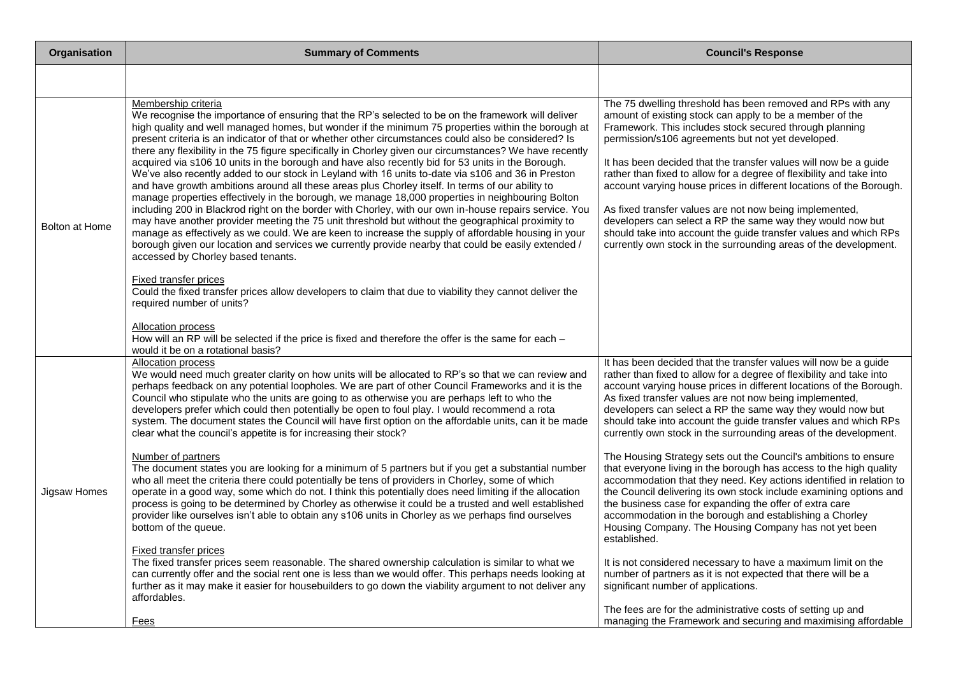| Organisation   | <b>Summary of Comments</b>                                                                                                                                                                                                                                                                                                                                                                                                                                                                                                                                                                                                                                                                                                                                                                                                                                                                                                                                                                                                                                                                                                                                                                                                                                                                                                                                                                                                                                                                                                                                                                                                                             | <b>Council's Response</b>                                                                                                                                                                                                                                                                                                                                                                                                                                                                                                                                                                                                                                                                                                                                                                                                                                                                                                                                                                                                                                                                                                                                                                                                                                                      |
|----------------|--------------------------------------------------------------------------------------------------------------------------------------------------------------------------------------------------------------------------------------------------------------------------------------------------------------------------------------------------------------------------------------------------------------------------------------------------------------------------------------------------------------------------------------------------------------------------------------------------------------------------------------------------------------------------------------------------------------------------------------------------------------------------------------------------------------------------------------------------------------------------------------------------------------------------------------------------------------------------------------------------------------------------------------------------------------------------------------------------------------------------------------------------------------------------------------------------------------------------------------------------------------------------------------------------------------------------------------------------------------------------------------------------------------------------------------------------------------------------------------------------------------------------------------------------------------------------------------------------------------------------------------------------------|--------------------------------------------------------------------------------------------------------------------------------------------------------------------------------------------------------------------------------------------------------------------------------------------------------------------------------------------------------------------------------------------------------------------------------------------------------------------------------------------------------------------------------------------------------------------------------------------------------------------------------------------------------------------------------------------------------------------------------------------------------------------------------------------------------------------------------------------------------------------------------------------------------------------------------------------------------------------------------------------------------------------------------------------------------------------------------------------------------------------------------------------------------------------------------------------------------------------------------------------------------------------------------|
|                |                                                                                                                                                                                                                                                                                                                                                                                                                                                                                                                                                                                                                                                                                                                                                                                                                                                                                                                                                                                                                                                                                                                                                                                                                                                                                                                                                                                                                                                                                                                                                                                                                                                        |                                                                                                                                                                                                                                                                                                                                                                                                                                                                                                                                                                                                                                                                                                                                                                                                                                                                                                                                                                                                                                                                                                                                                                                                                                                                                |
| Bolton at Home | Membership criteria<br>We recognise the importance of ensuring that the RP's selected to be on the framework will deliver<br>high quality and well managed homes, but wonder if the minimum 75 properties within the borough at<br>present criteria is an indicator of that or whether other circumstances could also be considered? Is<br>there any flexibility in the 75 figure specifically in Chorley given our circumstances? We have recently<br>acquired via s106 10 units in the borough and have also recently bid for 53 units in the Borough.<br>We've also recently added to our stock in Leyland with 16 units to-date via s106 and 36 in Preston<br>and have growth ambitions around all these areas plus Chorley itself. In terms of our ability to<br>manage properties effectively in the borough, we manage 18,000 properties in neighbouring Bolton<br>including 200 in Blackrod right on the border with Chorley, with our own in-house repairs service. You<br>may have another provider meeting the 75 unit threshold but without the geographical proximity to<br>manage as effectively as we could. We are keen to increase the supply of affordable housing in your<br>borough given our location and services we currently provide nearby that could be easily extended /<br>accessed by Chorley based tenants.<br><b>Fixed transfer prices</b><br>Could the fixed transfer prices allow developers to claim that due to viability they cannot deliver the<br>required number of units?<br><b>Allocation process</b><br>How will an RP will be selected if the price is fixed and therefore the offer is the same for each - | The 75 dwelling threshold has been removed and RPs with any<br>amount of existing stock can apply to be a member of the<br>Framework. This includes stock secured through planning<br>permission/s106 agreements but not yet developed.<br>It has been decided that the transfer values will now be a guide<br>rather than fixed to allow for a degree of flexibility and take into<br>account varying house prices in different locations of the Borough.<br>As fixed transfer values are not now being implemented,<br>developers can select a RP the same way they would now but<br>should take into account the guide transfer values and which RPs<br>currently own stock in the surrounding areas of the development.                                                                                                                                                                                                                                                                                                                                                                                                                                                                                                                                                    |
| Jigsaw Homes   | would it be on a rotational basis?<br>Allocation process<br>We would need much greater clarity on how units will be allocated to RP's so that we can review and<br>perhaps feedback on any potential loopholes. We are part of other Council Frameworks and it is the<br>Council who stipulate who the units are going to as otherwise you are perhaps left to who the<br>developers prefer which could then potentially be open to foul play. I would recommend a rota<br>system. The document states the Council will have first option on the affordable units, can it be made<br>clear what the council's appetite is for increasing their stock?<br>Number of partners<br>The document states you are looking for a minimum of 5 partners but if you get a substantial number<br>who all meet the criteria there could potentially be tens of providers in Chorley, some of which<br>operate in a good way, some which do not. I think this potentially does need limiting if the allocation<br>process is going to be determined by Chorley as otherwise it could be a trusted and well established<br>provider like ourselves isn't able to obtain any s106 units in Chorley as we perhaps find ourselves<br>bottom of the queue.<br>Fixed transfer prices<br>The fixed transfer prices seem reasonable. The shared ownership calculation is similar to what we<br>can currently offer and the social rent one is less than we would offer. This perhaps needs looking at<br>further as it may make it easier for housebuilders to go down the viability argument to not deliver any<br>affordables.<br>Fees                                    | It has been decided that the transfer values will now be a guide<br>rather than fixed to allow for a degree of flexibility and take into<br>account varying house prices in different locations of the Borough.<br>As fixed transfer values are not now being implemented,<br>developers can select a RP the same way they would now but<br>should take into account the guide transfer values and which RPs<br>currently own stock in the surrounding areas of the development.<br>The Housing Strategy sets out the Council's ambitions to ensure<br>that everyone living in the borough has access to the high quality<br>accommodation that they need. Key actions identified in relation to<br>the Council delivering its own stock include examining options and<br>the business case for expanding the offer of extra care<br>accommodation in the borough and establishing a Chorley<br>Housing Company. The Housing Company has not yet been<br>established.<br>It is not considered necessary to have a maximum limit on the<br>number of partners as it is not expected that there will be a<br>significant number of applications.<br>The fees are for the administrative costs of setting up and<br>managing the Framework and securing and maximising affordable |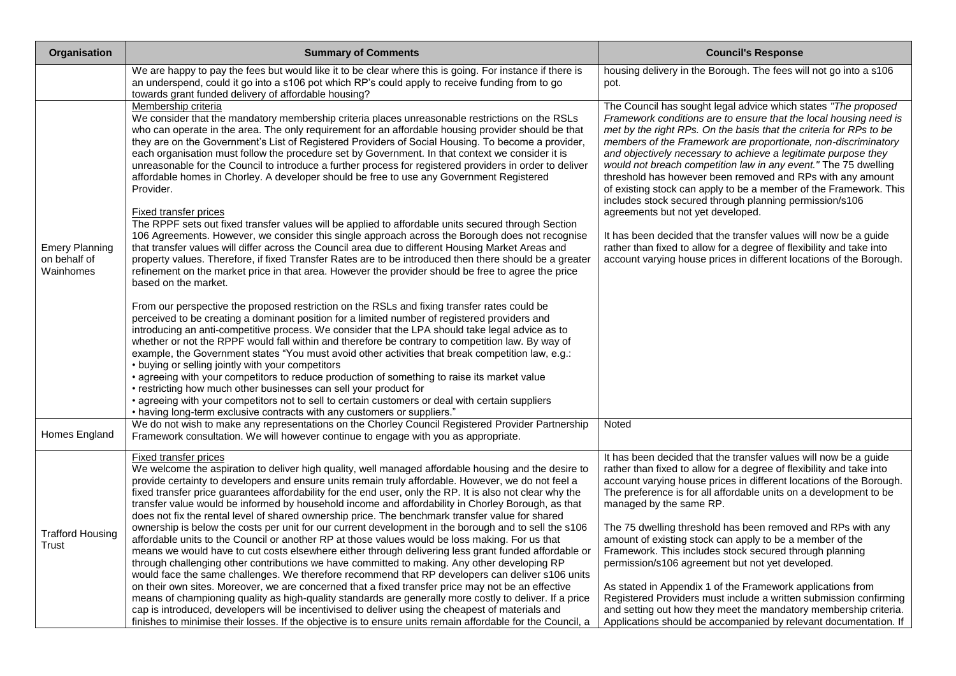| <b>Organisation</b>                                | <b>Summary of Comments</b>                                                                                                                                                                                                                                                                                                                                                                                                                                                                                                                                                                                                                                                                                                                                                                                                                                                                                                                                                                                                                                                                                                                                                                                                                                                                                                                                                                                                                                                                                                                                                                                                                                                                                                                                                                                                                                                                                                                                                                                                                                                                                                                                               | <b>Council's Response</b>                                                                                                                                                                                                                                                                                                                                                                                                                                                                                                                                                                                                                                                                                                                                                                                                                                              |
|----------------------------------------------------|--------------------------------------------------------------------------------------------------------------------------------------------------------------------------------------------------------------------------------------------------------------------------------------------------------------------------------------------------------------------------------------------------------------------------------------------------------------------------------------------------------------------------------------------------------------------------------------------------------------------------------------------------------------------------------------------------------------------------------------------------------------------------------------------------------------------------------------------------------------------------------------------------------------------------------------------------------------------------------------------------------------------------------------------------------------------------------------------------------------------------------------------------------------------------------------------------------------------------------------------------------------------------------------------------------------------------------------------------------------------------------------------------------------------------------------------------------------------------------------------------------------------------------------------------------------------------------------------------------------------------------------------------------------------------------------------------------------------------------------------------------------------------------------------------------------------------------------------------------------------------------------------------------------------------------------------------------------------------------------------------------------------------------------------------------------------------------------------------------------------------------------------------------------------------|------------------------------------------------------------------------------------------------------------------------------------------------------------------------------------------------------------------------------------------------------------------------------------------------------------------------------------------------------------------------------------------------------------------------------------------------------------------------------------------------------------------------------------------------------------------------------------------------------------------------------------------------------------------------------------------------------------------------------------------------------------------------------------------------------------------------------------------------------------------------|
|                                                    | We are happy to pay the fees but would like it to be clear where this is going. For instance if there is<br>an underspend, could it go into a s106 pot which RP's could apply to receive funding from to go<br>towards grant funded delivery of affordable housing?                                                                                                                                                                                                                                                                                                                                                                                                                                                                                                                                                                                                                                                                                                                                                                                                                                                                                                                                                                                                                                                                                                                                                                                                                                                                                                                                                                                                                                                                                                                                                                                                                                                                                                                                                                                                                                                                                                      | housing delivery in the Borough. The fees will not go into a s106<br>pot.                                                                                                                                                                                                                                                                                                                                                                                                                                                                                                                                                                                                                                                                                                                                                                                              |
| <b>Emery Planning</b><br>on behalf of<br>Wainhomes | Membership criteria<br>We consider that the mandatory membership criteria places unreasonable restrictions on the RSLs<br>who can operate in the area. The only requirement for an affordable housing provider should be that<br>they are on the Government's List of Registered Providers of Social Housing. To become a provider,<br>each organisation must follow the procedure set by Government. In that context we consider it is<br>unreasonable for the Council to introduce a further process for registered providers in order to deliver<br>affordable homes in Chorley. A developer should be free to use any Government Registered<br>Provider.<br>Fixed transfer prices<br>The RPPF sets out fixed transfer values will be applied to affordable units secured through Section<br>106 Agreements. However, we consider this single approach across the Borough does not recognise<br>that transfer values will differ across the Council area due to different Housing Market Areas and<br>property values. Therefore, if fixed Transfer Rates are to be introduced then there should be a greater<br>refinement on the market price in that area. However the provider should be free to agree the price<br>based on the market.<br>From our perspective the proposed restriction on the RSLs and fixing transfer rates could be<br>perceived to be creating a dominant position for a limited number of registered providers and<br>introducing an anti-competitive process. We consider that the LPA should take legal advice as to<br>whether or not the RPPF would fall within and therefore be contrary to competition law. By way of<br>example, the Government states "You must avoid other activities that break competition law, e.g.:<br>• buying or selling jointly with your competitors<br>• agreeing with your competitors to reduce production of something to raise its market value<br>• restricting how much other businesses can sell your product for<br>• agreeing with your competitors not to sell to certain customers or deal with certain suppliers<br>• having long-term exclusive contracts with any customers or suppliers." | The Council has sought legal advice which states "The proposed<br>Framework conditions are to ensure that the local housing need is<br>met by the right RPs. On the basis that the criteria for RPs to be<br>members of the Framework are proportionate, non-discriminatory<br>and objectively necessary to achieve a legitimate purpose they<br>would not breach competition law in any event." The 75 dwelling<br>threshold has however been removed and RPs with any amount<br>of existing stock can apply to be a member of the Framework. This<br>includes stock secured through planning permission/s106<br>agreements but not yet developed.<br>It has been decided that the transfer values will now be a guide<br>rather than fixed to allow for a degree of flexibility and take into<br>account varying house prices in different locations of the Borough. |
| Homes England                                      | We do not wish to make any representations on the Chorley Council Registered Provider Partnership<br>Framework consultation. We will however continue to engage with you as appropriate.                                                                                                                                                                                                                                                                                                                                                                                                                                                                                                                                                                                                                                                                                                                                                                                                                                                                                                                                                                                                                                                                                                                                                                                                                                                                                                                                                                                                                                                                                                                                                                                                                                                                                                                                                                                                                                                                                                                                                                                 | Noted                                                                                                                                                                                                                                                                                                                                                                                                                                                                                                                                                                                                                                                                                                                                                                                                                                                                  |
| <b>Trafford Housing</b><br>Trust                   | Fixed transfer prices<br>We welcome the aspiration to deliver high quality, well managed affordable housing and the desire to<br>provide certainty to developers and ensure units remain truly affordable. However, we do not feel a<br>fixed transfer price guarantees affordability for the end user, only the RP. It is also not clear why the<br>transfer value would be informed by household income and affordability in Chorley Borough, as that<br>does not fix the rental level of shared ownership price. The benchmark transfer value for shared<br>ownership is below the costs per unit for our current development in the borough and to sell the s106<br>affordable units to the Council or another RP at those values would be loss making. For us that<br>means we would have to cut costs elsewhere either through delivering less grant funded affordable or<br>through challenging other contributions we have committed to making. Any other developing RP<br>would face the same challenges. We therefore recommend that RP developers can deliver s106 units<br>on their own sites. Moreover, we are concerned that a fixed transfer price may not be an effective<br>means of championing quality as high-quality standards are generally more costly to deliver. If a price<br>cap is introduced, developers will be incentivised to deliver using the cheapest of materials and                                                                                                                                                                                                                                                                                                                                                                                                                                                                                                                                                                                                                                                                                                                                                                | It has been decided that the transfer values will now be a guide<br>rather than fixed to allow for a degree of flexibility and take into<br>account varying house prices in different locations of the Borough.<br>The preference is for all affordable units on a development to be<br>managed by the same RP.<br>The 75 dwelling threshold has been removed and RPs with any<br>amount of existing stock can apply to be a member of the<br>Framework. This includes stock secured through planning<br>permission/s106 agreement but not yet developed.<br>As stated in Appendix 1 of the Framework applications from<br>Registered Providers must include a written submission confirming<br>and setting out how they meet the mandatory membership criteria.                                                                                                       |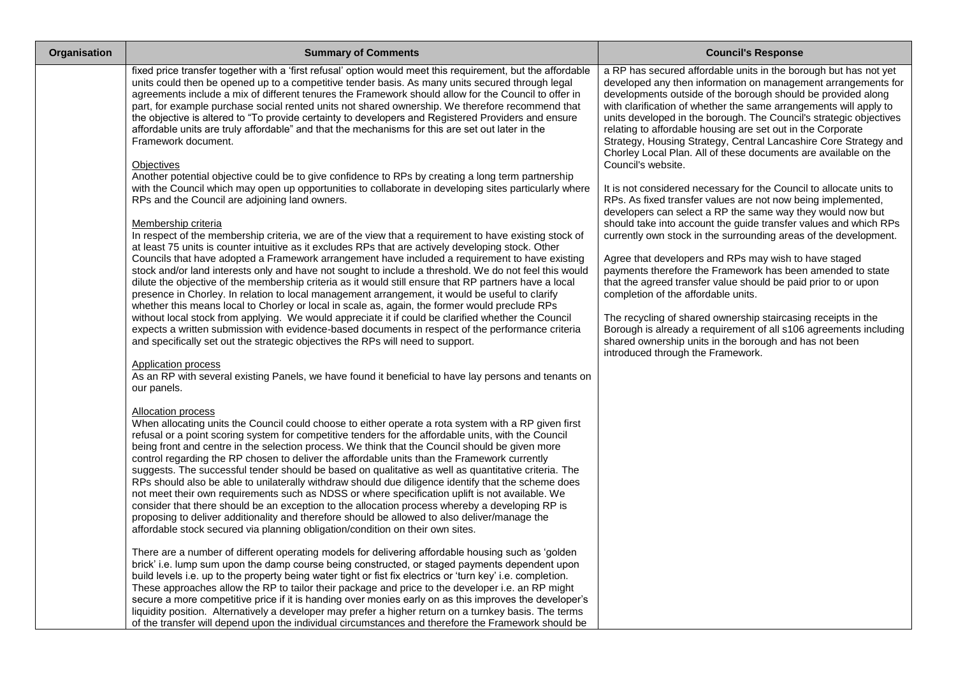| Organisation | <b>Summary of Comments</b>                                                                                                                                                                                                                                                                                                                                                                                                                                                                                                                                                                                                                                                                                                                                                                                                                                                                                                                                                                                                                    | <b>Council's Response</b>                                                                                                                                                                                                                                                                                                                                                                                                                                                                                                                                                |
|--------------|-----------------------------------------------------------------------------------------------------------------------------------------------------------------------------------------------------------------------------------------------------------------------------------------------------------------------------------------------------------------------------------------------------------------------------------------------------------------------------------------------------------------------------------------------------------------------------------------------------------------------------------------------------------------------------------------------------------------------------------------------------------------------------------------------------------------------------------------------------------------------------------------------------------------------------------------------------------------------------------------------------------------------------------------------|--------------------------------------------------------------------------------------------------------------------------------------------------------------------------------------------------------------------------------------------------------------------------------------------------------------------------------------------------------------------------------------------------------------------------------------------------------------------------------------------------------------------------------------------------------------------------|
|              | fixed price transfer together with a 'first refusal' option would meet this requirement, but the affordable<br>units could then be opened up to a competitive tender basis. As many units secured through legal<br>agreements include a mix of different tenures the Framework should allow for the Council to offer in<br>part, for example purchase social rented units not shared ownership. We therefore recommend that<br>the objective is altered to "To provide certainty to developers and Registered Providers and ensure<br>affordable units are truly affordable" and that the mechanisms for this are set out later in the<br>Framework document.<br><b>Objectives</b>                                                                                                                                                                                                                                                                                                                                                            | a RP has secured affordable units in the borough but has not yet<br>developed any then information on management arrangements for<br>developments outside of the borough should be provided along<br>with clarification of whether the same arrangements will apply to<br>units developed in the borough. The Council's strategic objectives<br>relating to affordable housing are set out in the Corporate<br>Strategy, Housing Strategy, Central Lancashire Core Strategy and<br>Chorley Local Plan. All of these documents are available on the<br>Council's website. |
|              | Another potential objective could be to give confidence to RPs by creating a long term partnership<br>with the Council which may open up opportunities to collaborate in developing sites particularly where<br>RPs and the Council are adjoining land owners.                                                                                                                                                                                                                                                                                                                                                                                                                                                                                                                                                                                                                                                                                                                                                                                | It is not considered necessary for the Council to allocate units to<br>RPs. As fixed transfer values are not now being implemented,<br>developers can select a RP the same way they would now but                                                                                                                                                                                                                                                                                                                                                                        |
|              | Membership criteria<br>In respect of the membership criteria, we are of the view that a requirement to have existing stock of<br>at least 75 units is counter intuitive as it excludes RPs that are actively developing stock. Other<br>Councils that have adopted a Framework arrangement have included a requirement to have existing<br>stock and/or land interests only and have not sought to include a threshold. We do not feel this would<br>dilute the objective of the membership criteria as it would still ensure that RP partners have a local<br>presence in Chorley. In relation to local management arrangement, it would be useful to clarify                                                                                                                                                                                                                                                                                                                                                                                | should take into account the guide transfer values and which RPs<br>currently own stock in the surrounding areas of the development.<br>Agree that developers and RPs may wish to have staged<br>payments therefore the Framework has been amended to state<br>that the agreed transfer value should be paid prior to or upon<br>completion of the affordable units.                                                                                                                                                                                                     |
|              | whether this means local to Chorley or local in scale as, again, the former would preclude RPs<br>without local stock from applying. We would appreciate it if could be clarified whether the Council<br>expects a written submission with evidence-based documents in respect of the performance criteria<br>and specifically set out the strategic objectives the RPs will need to support.<br><b>Application process</b><br>As an RP with several existing Panels, we have found it beneficial to have lay persons and tenants on<br>our panels.                                                                                                                                                                                                                                                                                                                                                                                                                                                                                           | The recycling of shared ownership staircasing receipts in the<br>Borough is already a requirement of all s106 agreements including<br>shared ownership units in the borough and has not been<br>introduced through the Framework.                                                                                                                                                                                                                                                                                                                                        |
|              | Allocation process<br>When allocating units the Council could choose to either operate a rota system with a RP given first<br>refusal or a point scoring system for competitive tenders for the affordable units, with the Council<br>being front and centre in the selection process. We think that the Council should be given more<br>control regarding the RP chosen to deliver the affordable units than the Framework currently<br>suggests. The successful tender should be based on qualitative as well as quantitative criteria. The<br>RPs should also be able to unilaterally withdraw should due diligence identify that the scheme does<br>not meet their own requirements such as NDSS or where specification uplift is not available. We<br>consider that there should be an exception to the allocation process whereby a developing RP is<br>proposing to deliver additionality and therefore should be allowed to also deliver/manage the<br>affordable stock secured via planning obligation/condition on their own sites. |                                                                                                                                                                                                                                                                                                                                                                                                                                                                                                                                                                          |
|              | There are a number of different operating models for delivering affordable housing such as 'golden<br>brick' i.e. lump sum upon the damp course being constructed, or staged payments dependent upon<br>build levels i.e. up to the property being water tight or fist fix electrics or 'turn key' i.e. completion.<br>These approaches allow the RP to tailor their package and price to the developer i.e. an RP might<br>secure a more competitive price if it is handing over monies early on as this improves the developer's<br>liquidity position. Alternatively a developer may prefer a higher return on a turnkey basis. The terms<br>of the transfer will depend upon the individual circumstances and therefore the Framework should be                                                                                                                                                                                                                                                                                           |                                                                                                                                                                                                                                                                                                                                                                                                                                                                                                                                                                          |